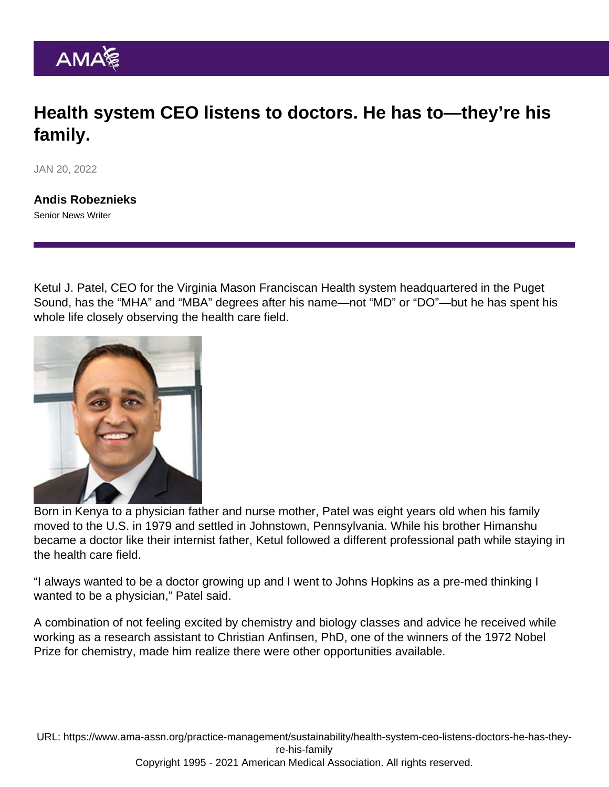## Health system CEO listens to doctors. He has to—they're his family.

JAN 20, 2022

[Andis Robeznieks](https://www.ama-assn.org/news-leadership-viewpoints/authors-news-leadership-viewpoints/andis-robeznieks) Senior News Writer

Ketul J. Patel, CEO for the Virginia Mason Franciscan Health system headquartered in the Puget Sound, has the "MHA" and "MBA" degrees after his name—not "MD" or "DO"—but he has spent his whole life closely observing the health care field.

Born in Kenya to a physician father and nurse mother, Patel was eight years old when his family moved to the U.S. in 1979 and settled in Johnstown, Pennsylvania. While his brother Himanshu became a doctor like their internist father, Ketul followed a different professional path while staying in the health care field.

"I always wanted to be a doctor growing up and I went to Johns Hopkins as a pre-med thinking I wanted to be a physician," Patel said.

A combination of not feeling excited by chemistry and biology classes and advice he received while working as a research assistant to Christian Anfinsen, PhD, one of the winners of the 1972 Nobel Prize for chemistry, made him realize there were other opportunities available.

URL: [https://www.ama-assn.org/practice-management/sustainability/health-system-ceo-listens-doctors-he-has-they](https://www.ama-assn.org/practice-management/sustainability/health-system-ceo-listens-doctors-he-has-they-re-his-family)[re-his-family](https://www.ama-assn.org/practice-management/sustainability/health-system-ceo-listens-doctors-he-has-they-re-his-family) Copyright 1995 - 2021 American Medical Association. All rights reserved.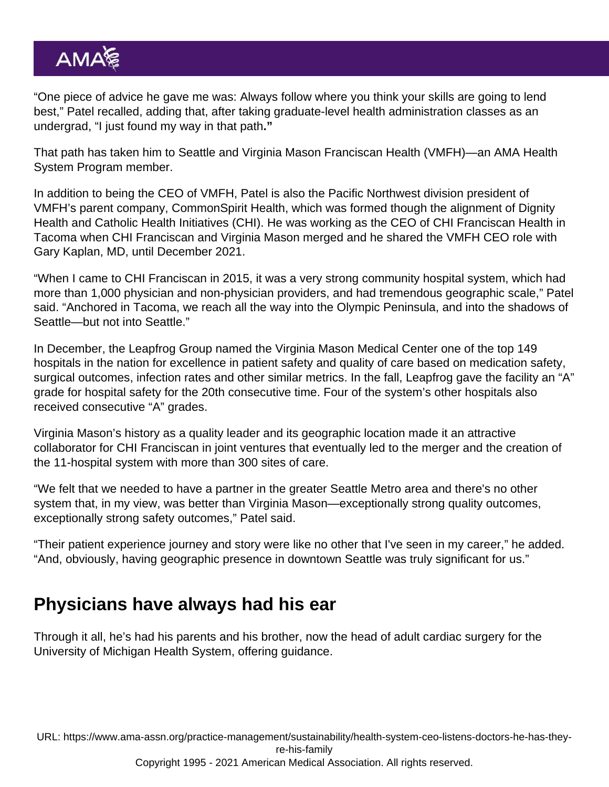"One piece of advice he gave me was: Always follow where you think your skills are going to lend best," Patel recalled, adding that, after taking graduate-level health administration classes as an undergrad, "I just found my way in that path."

That path has taken him to Seattle and Virginia Mason Franciscan Health (VMFH)—an [AMA Health](https://www.ama-assn.org/amaone/ama-health-system-program) [System Program](https://www.ama-assn.org/amaone/ama-health-system-program) member.

In addition to being the CEO of VMFH, Patel is also the Pacific Northwest division president of VMFH's parent company, CommonSpirit Health, which was formed though the alignment of Dignity Health and Catholic Health Initiatives (CHI). He was working as the CEO of CHI Franciscan Health in Tacoma when CHI Franciscan and Virginia Mason merged and he shared the VMFH CEO role with [Gary Kaplan, MD](https://www.ama-assn.org/delivering-care/patient-support-advocacy/qa-what-s-next-dr-gary-kaplan-after-stepping-down-ceo), until December 2021.

"When I came to CHI Franciscan in 2015, it was a very strong community hospital system, which had more than 1,000 physician and non-physician providers, and had tremendous geographic scale," Patel said. "Anchored in Tacoma, we reach all the way into the Olympic Peninsula, and into the shadows of Seattle—but not into Seattle."

In December, the Leapfrog Group named the Virginia Mason Medical Center one of the top 149 hospitals in the nation for excellence in patient safety and quality of care based on medication safety, surgical outcomes, infection rates and other similar metrics. In the fall, Leapfrog gave the facility an "A" grade for hospital safety for the 20th consecutive time. Four of the system's other hospitals also received consecutive "A" grades.

Virginia Mason's history as a quality leader and its geographic location made it an attractive collaborator for CHI Franciscan in joint ventures that eventually led to the merger and the creation of the 11-hospital system with more than 300 sites of care.

"We felt that we needed to have a partner in the greater Seattle Metro area and there's no other system that, in my view, was better than Virginia Mason—exceptionally strong quality outcomes, exceptionally strong safety outcomes," Patel said.

"Their patient experience journey and story were like no other that I've seen in my career," he added. "And, obviously, having geographic presence in downtown Seattle was truly significant for us."

## Physicians have always had his ear

Through it all, he's had his parents and his brother, now the head of adult cardiac surgery for the University of Michigan Health System, offering guidance.

URL: [https://www.ama-assn.org/practice-management/sustainability/health-system-ceo-listens-doctors-he-has-they](https://www.ama-assn.org/practice-management/sustainability/health-system-ceo-listens-doctors-he-has-they-re-his-family)[re-his-family](https://www.ama-assn.org/practice-management/sustainability/health-system-ceo-listens-doctors-he-has-they-re-his-family)